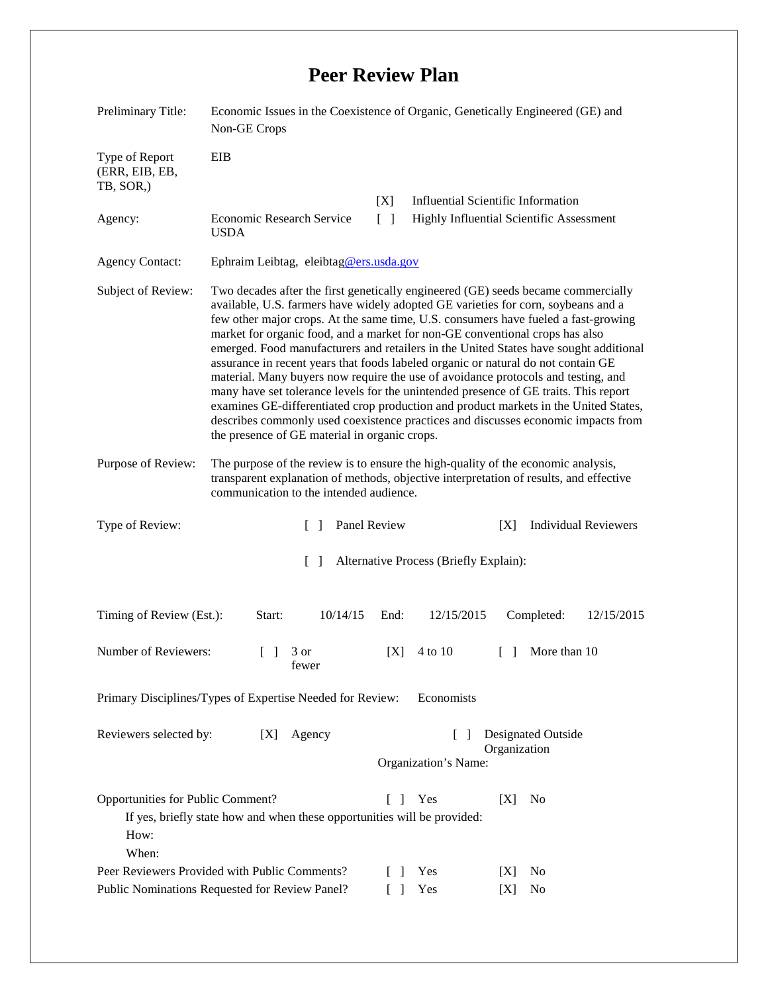## **Peer Review Plan**

| Preliminary Title:                                 | Economic Issues in the Coexistence of Organic, Genetically Engineered (GE) and<br>Non-GE Crops                                                                                                                                                                                                                                                                                                                                                                                                                                                                                                                                                                                                                                                                                                                                                                                                                                        |                                                                |                                                |
|----------------------------------------------------|---------------------------------------------------------------------------------------------------------------------------------------------------------------------------------------------------------------------------------------------------------------------------------------------------------------------------------------------------------------------------------------------------------------------------------------------------------------------------------------------------------------------------------------------------------------------------------------------------------------------------------------------------------------------------------------------------------------------------------------------------------------------------------------------------------------------------------------------------------------------------------------------------------------------------------------|----------------------------------------------------------------|------------------------------------------------|
| Type of Report<br>(ERR, EIB, EB,<br>TB, SOR.)      | EIB                                                                                                                                                                                                                                                                                                                                                                                                                                                                                                                                                                                                                                                                                                                                                                                                                                                                                                                                   | [X]                                                            | <b>Influential Scientific Information</b>      |
| Agency:                                            | <b>Economic Research Service</b><br><b>USDA</b>                                                                                                                                                                                                                                                                                                                                                                                                                                                                                                                                                                                                                                                                                                                                                                                                                                                                                       | $\lceil \; \rceil$<br>Highly Influential Scientific Assessment |                                                |
| <b>Agency Contact:</b>                             | Ephraim Leibtag, eleibtag@ers.usda.gov                                                                                                                                                                                                                                                                                                                                                                                                                                                                                                                                                                                                                                                                                                                                                                                                                                                                                                |                                                                |                                                |
| Subject of Review:                                 | Two decades after the first genetically engineered (GE) seeds became commercially<br>available, U.S. farmers have widely adopted GE varieties for corn, soybeans and a<br>few other major crops. At the same time, U.S. consumers have fueled a fast-growing<br>market for organic food, and a market for non-GE conventional crops has also<br>emerged. Food manufacturers and retailers in the United States have sought additional<br>assurance in recent years that foods labeled organic or natural do not contain GE<br>material. Many buyers now require the use of avoidance protocols and testing, and<br>many have set tolerance levels for the unintended presence of GE traits. This report<br>examines GE-differentiated crop production and product markets in the United States,<br>describes commonly used coexistence practices and discusses economic impacts from<br>the presence of GE material in organic crops. |                                                                |                                                |
| Purpose of Review:                                 | The purpose of the review is to ensure the high-quality of the economic analysis,<br>transparent explanation of methods, objective interpretation of results, and effective<br>communication to the intended audience.                                                                                                                                                                                                                                                                                                                                                                                                                                                                                                                                                                                                                                                                                                                |                                                                |                                                |
| Type of Review:                                    | Panel Review<br>$\Box$                                                                                                                                                                                                                                                                                                                                                                                                                                                                                                                                                                                                                                                                                                                                                                                                                                                                                                                |                                                                | <b>Individual Reviewers</b><br>[X]             |
|                                                    |                                                                                                                                                                                                                                                                                                                                                                                                                                                                                                                                                                                                                                                                                                                                                                                                                                                                                                                                       |                                                                |                                                |
|                                                    | $\Box$                                                                                                                                                                                                                                                                                                                                                                                                                                                                                                                                                                                                                                                                                                                                                                                                                                                                                                                                | Alternative Process (Briefly Explain):                         |                                                |
| Timing of Review (Est.):                           | 10/14/15<br>Start:                                                                                                                                                                                                                                                                                                                                                                                                                                                                                                                                                                                                                                                                                                                                                                                                                                                                                                                    | End:<br>12/15/2015                                             | Completed:<br>12/15/2015                       |
| Number of Reviewers:                               | 3 or<br>$\Box$<br>fewer                                                                                                                                                                                                                                                                                                                                                                                                                                                                                                                                                                                                                                                                                                                                                                                                                                                                                                               | [X]<br>4 to 10                                                 | $\lceil \cdot \rceil$ More than 10             |
|                                                    | Primary Disciplines/Types of Expertise Needed for Review:                                                                                                                                                                                                                                                                                                                                                                                                                                                                                                                                                                                                                                                                                                                                                                                                                                                                             | Economists                                                     |                                                |
| Reviewers selected by:                             | Agency<br>[X]                                                                                                                                                                                                                                                                                                                                                                                                                                                                                                                                                                                                                                                                                                                                                                                                                                                                                                                         | $\Box$<br>Organization's Name:                                 | Designated Outside<br>Organization             |
| Opportunities for Public Comment?<br>How:<br>When: | If yes, briefly state how and when these opportunities will be provided:<br>Peer Reviewers Provided with Public Comments?                                                                                                                                                                                                                                                                                                                                                                                                                                                                                                                                                                                                                                                                                                                                                                                                             | Yes<br>L<br>-1<br>Yes<br>-1                                    | [X]<br>N <sub>0</sub><br>N <sub>0</sub><br>[X] |